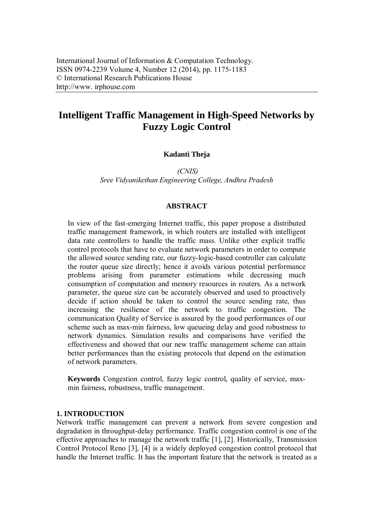# **Intelligent Traffic Management in High-Speed Networks by Fuzzy Logic Control**

# **Kadanti Theja**

*(CNIS) Sree Vidyanikethan Engineering College, Andhra Pradesh*

## **ABSTRACT**

In view of the fast-emerging Internet traffic, this paper propose a distributed traffic management framework, in which routers are installed with intelligent data rate controllers to handle the traffic mass. Unlike other explicit traffic control protocols that have to evaluate network parameters in order to compute the allowed source sending rate, our fuzzy-logic-based controller can calculate the router queue size directly; hence it avoids various potential performance problems arising from parameter estimations while decreasing much consumption of computation and memory resources in routers. As a network parameter, the queue size can be accurately observed and used to proactively decide if action should be taken to control the source sending rate, thus increasing the resilience of the network to traffic congestion. The communication Quality of Service is assured by the good performances of our scheme such as max-min fairness, low queueing delay and good robustness to network dynamics. Simulation results and comparisons have verified the effectiveness and showed that our new traffic management scheme can attain better performances than the existing protocols that depend on the estimation of network parameters.

**Keywords** Congestion control, fuzzy logic control, quality of service, maxmin fairness, robustness, traffic management.

#### **1. INTRODUCTION**

Network traffic management can prevent a network from severe congestion and degradation in throughput-delay performance. Traffic congestion control is one of the effective approaches to manage the network traffic [1], [2]. Historically, Transmission Control Protocol Reno [3], [4] is a widely deployed congestion control protocol that handle the Internet traffic. It has the important feature that the network is treated as a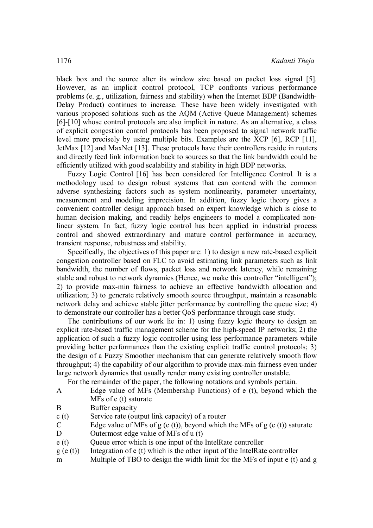black box and the source alter its window size based on packet loss signal [5]. However, as an implicit control protocol, TCP confronts various performance problems (e. g., utilization, fairness and stability) when the Internet BDP (Bandwidth-Delay Product) continues to increase. These have been widely investigated with various proposed solutions such as the AQM (Active Queue Management) schemes [6]-[10] whose control protocols are also implicit in nature. As an alternative, a class of explicit congestion control protocols has been proposed to signal network traffic level more precisely by using multiple bits. Examples are the XCP [6], RCP [11], JetMax [12] and MaxNet [13]. These protocols have their controllers reside in routers and directly feed link information back to sources so that the link bandwidth could be efficiently utilized with good scalability and stability in high BDP networks.

Fuzzy Logic Control [16] has been considered for Intelligence Control. It is a methodology used to design robust systems that can contend with the common adverse synthesizing factors such as system nonlinearity, parameter uncertainty, measurement and modeling imprecision. In addition, fuzzy logic theory gives a convenient controller design approach based on expert knowledge which is close to human decision making, and readily helps engineers to model a complicated nonlinear system. In fact, fuzzy logic control has been applied in industrial process control and showed extraordinary and mature control performance in accuracy, transient response, robustness and stability.

Specifically, the objectives of this paper are: 1) to design a new rate-based explicit congestion controller based on FLC to avoid estimating link parameters such as link bandwidth, the number of flows, packet loss and network latency, while remaining stable and robust to network dynamics (Hence, we make this controller "intelligent"); 2) to provide max-min fairness to achieve an effective bandwidth allocation and utilization; 3) to generate relatively smooth source throughput, maintain a reasonable network delay and achieve stable jitter performance by controlling the queue size; 4) to demonstrate our controller has a better QoS performance through case study.

The contributions of our work lie in: 1) using fuzzy logic theory to design an explicit rate-based traffic management scheme for the high-speed IP networks; 2) the application of such a fuzzy logic controller using less performance parameters while providing better performances than the existing explicit traffic control protocols; 3) the design of a Fuzzy Smoother mechanism that can generate relatively smooth flow throughput; 4) the capability of our algorithm to provide max-min fairness even under large network dynamics that usually render many existing controller unstable.

For the remainder of the paper, the following notations and symbols pertain.

| A | Edge value of MFs (Membership Functions) of e (t), beyond which the |
|---|---------------------------------------------------------------------|
|   | MFs of e (t) saturate                                               |

- B Buffer capacity
- c (t) Service rate (output link capacity) of a router
- C Edge value of MFs of g (e (t)), beyond which the MFs of g (e (t)) saturate
- D Outermost edge value of MFs of u (t)
- e (t) Queue error which is one input of the IntelRate controller
- $g(e(t))$  Integration of e (t) which is the other input of the IntelRate controller
- m Multiple of TBO to design the width limit for the MFs of input e (t) and g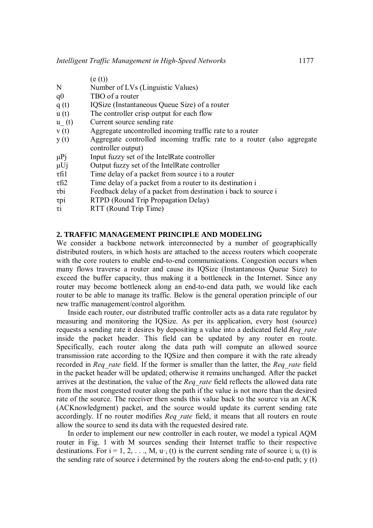(e (t))

- N Number of LVs (Linguistic Values)
- q0 TBO of a router
- q (t) IQSize (Instantaneous Queue Size) of a router
- u (t) The controller crisp output for each flow
- u\_ (t) Current source sending rate
- v (t) Aggregate uncontrolled incoming traffic rate to a router
- y (t) Aggregate controlled incoming traffic rate to a router (also aggregate controller output)
- $\mu$ Pj Input fuzzy set of the IntelRate controller
- μUj Output fuzzy set of the IntelRate controller
- τfi1 Time delay of a packet from source i to a router
- τfi2 Time delay of a packet from a router to its destination i
- τbi Feedback delay of a packet from destination i back to source i
- τpi RTPD (Round Trip Propagation Delay)
- τi RTT (Round Trip Time)

# **2. TRAFFIC MANAGEMENT PRINCIPLE AND MODELING**

We consider a backbone network interconnected by a number of geographically distributed routers, in which hosts are attached to the access routers which cooperate with the core routers to enable end-to-end communications. Congestion occurs when many flows traverse a router and cause its IQSize (Instantaneous Queue Size) to exceed the buffer capacity, thus making it a bottleneck in the Internet. Since any router may become bottleneck along an end-to-end data path, we would like each router to be able to manage its traffic. Below is the general operation principle of our new traffic management/control algorithm.

Inside each router, our distributed traffic controller acts as a data rate regulator by measuring and monitoring the IQSize. As per its application, every host (source) requests a sending rate it desires by depositing a value into a dedicated field *Req\_rate*  inside the packet header. This field can be updated by any router en route. Specifically, each router along the data path will compute an allowed source transmission rate according to the IQSize and then compare it with the rate already recorded in *Req\_rate* field. If the former is smaller than the latter, the *Req\_rate* field in the packet header will be updated; otherwise it remains unchanged. After the packet arrives at the destination, the value of the *Req\_rate* field reflects the allowed data rate from the most congested router along the path if the value is not more than the desired rate of the source. The receiver then sends this value back to the source via an ACK (ACKnowledgment) packet, and the source would update its current sending rate accordingly. If no router modifies *Req rate* field, it means that all routers en route allow the source to send its data with the requested desired rate.

In order to implement our new controller in each router, we model a typical AQM router in Fig. 1 with M sources sending their Internet traffic to their respective destinations. For  $i = 1, 2, ..., M$ ,  $u_{i}(t)$  is the current sending rate of source i;  $u_{i}(t)$  is the sending rate of source i determined by the routers along the end-to-end path;  $y(t)$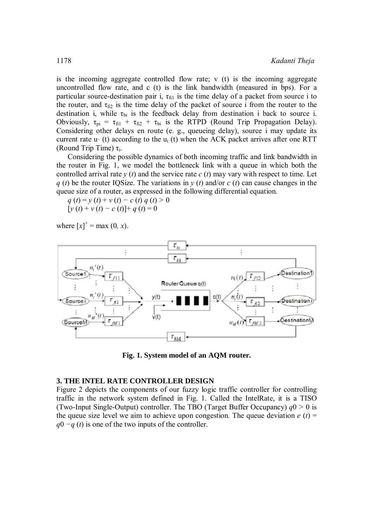is the incoming aggregate controlled flow rate; v (t) is the incoming aggregate uncontrolled flow rate, and c (t) is the link bandwidth (measured in bps). For a particular source-destination pair i,  $\tau_{\text{fil}}$  is the time delay of a packet from source i to the router, and  $\tau_{\text{fi2}}$  is the time delay of the packet of source i from the router to the destination i, while  $\tau_{bi}$  is the feedback delay from destination i back to source i. Obviously,  $\tau_{pi} = \tau_{fi1} + \tau_{fi2} + \tau_{bi}$  is the RTPD (Round Trip Propagation Delay). Considering other delays en route (e. g., queueing delay), source i may update its current rate  $u$ - (t) according to the  $u_i$  (t) when the ACK packet arrives after one RTT (Round Trip Time)  $\tau_i$ .

Considering the possible dynamics of both incoming traffic and link bandwidth in the router in Fig. 1, we model the bottleneck link with a queue in which both the controlled arrival rate  $y(t)$  and the service rate  $c(t)$  may vary with respect to time. Let *q* (*t*) be the router IQSize. The variations in *y* (*t*) and/or *c* (*t*) can cause changes in the queue size of a router, as expressed in the following differential equation.

 $q(t) = y(t) + v(t) - c(t) q(t) > 0$  $[y (t) + v (t) - c (t)] + q (t) = 0$ 

where  $[x]^{+} = \max(0, x)$ .



**Fig. 1. System model of an AQM router.** 

### **3. THE INTEL RATE CONTROLLER DESIGN**

Figure 2 depicts the components of our fuzzy logic traffic controller for controlling traffic in the network system defined in Fig. 1. Called the IntelRate, it is a TISO (Two-Input Single-Output) controller. The TBO (Target Buffer Occupancy)  $q0 > 0$  is the queue size level we aim to achieve upon congestion. The queue deviation  $e(t)$  = *q*0 −*q* (*t*) is one of the two inputs of the controller.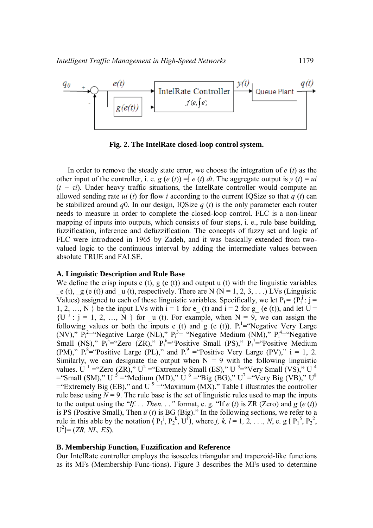

**Fig. 2. The IntelRate closed-loop control system.** 

In order to remove the steady state error, we choose the integration of *e* (*t*) as the other input of the controller, i. e. *g* (*e* (*t*)) =  $\int e(t) dt$ . The aggregate output is *y* (*t*) = *ui* (*t − τi*). Under heavy traffic situations, the IntelRate controller would compute an allowed sending rate *ui* (*t*) for flow *i* according to the current IQSize so that *q* (*t*) can be stabilized around *q*0. In our design, IQSize *q* (*t*) is the only parameter each router needs to measure in order to complete the closed-loop control. FLC is a non-linear mapping of inputs into outputs, which consists of four steps, i. e., rule base building, fuzzification, inference and defuzzification. The concepts of fuzzy set and logic of FLC were introduced in 1965 by Zadeh, and it was basically extended from twovalued logic to the continuous interval by adding the intermediate values between absolute TRUE and FALSE.

#### **A. Linguistic Description and Rule Base**

We define the crisp inputs  $e(t)$ ,  $g(e(t))$  and output u (t) with the linguistic variables e (t),  $g$  (e (t)) and  $u$  (t), respectively. There are N (N = 1, 2, 3, ...) LVs (Linguistic Values) assigned to each of these linguistic variables. Specifically, we let  $P_i = \{P_i^j : j = j\}$ 1, 2, …, N } be the input LVs with  $i = 1$  for e\_(t) and  $i = 2$  for g\_(e (t)), and let U =  ${U^{j}: j = 1, 2, ..., N}$  for u (t). For example, when  $N = 9$ , we can assign the following values or both the inputs e (t) and g (e (t)).  $P_i^1$ = Negative Very Large (NV),"  $P_i^2$ = "Negative Large (NL),"  $P_i^3$ = "Negative Medium (NM),"  $P_i^4$ = "Negative Small (NS),"  $P_1^5$ ="Zero (ZR),"  $P_1^6$ ="Positive Small (PS),"  $P_1^7$ ="Positive Medium (PM),"  $P_i^8$ ="Positive Large (PL)," and  $P_i^9$  ="Positive Very Large (PV)," i = 1, 2. Similarly, we can designate the output when  $N = 9$  with the following linguistic values. U<sup>1</sup> = "Zero (ZR)," U<sup>2</sup> = "Extremely Small (ES)," U<sup>3</sup> = "Very Small (VS)," U<sup>4</sup>  $=$ "Small (SM)," U<sup>5</sup> = "Medium (MD)," U<sup>6</sup> = "Big (BG)," U<sup>7</sup> = "Very Big (VB)," U<sup>8</sup>  $=$ "Extremely Big (EB)," and U<sup>9</sup> = "Maximum (MX)." Table I illustrates the controller rule base using  $N = 9$ . The rule base is the set of linguistic rules used to map the inputs to the output using the "*If... Then...*" format, e.g. "If  $e(t)$  is ZR (Zero) and  $g(e(t))$ is PS (Positive Small), Then *u* (*t*) is BG (Big)." In the following sections, we refer to a rule in this able by the notation ( $P_1^j$ ,  $P_2^k$ ,  $U^l$ ), where *j*, *k*, *l* = 1, 2, ..., *N*, e. g ( $P_1^5$ ,  $P_2^2$ ,  $U^2$ ) = (*ZR, NL, ES*).

#### **B. Membership Function, Fuzzification and Reference**

Our IntelRate controller employs the isosceles triangular and trapezoid-like functions as its MFs (Membership Func-tions). Figure 3 describes the MFs used to determine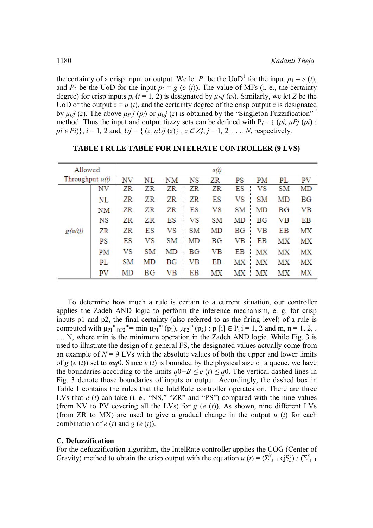the certainty of a crisp input or output. We let  $P_1$  be the UoD<sup>1</sup> for the input  $p_1 = e(t)$ , and  $P_2$  be the UoD for the input  $p_2 = g(e(t))$ . The value of MFs (i. e., the certainty degree) for crisp inputs  $p_i$  ( $i = 1, 2$ ) is designated by  $\mu_{Pi}(p_i)$ . Similarly, we let *Z* be the UoD of the output  $z = u(t)$ , and the certainty degree of the crisp output z is designated by  $\mu_U$ *j* (*z*). The above  $\mu_P$ *j* (*p<sub>i</sub>*) or  $\mu_U$ *j* (*z*) is obtained by the "Singleton Fuzzification" *i* method. Thus the input and output fuzzy sets can be defined with  $P_i^j = \{ (pi, \mu P_j(p_i) :$ *pi*  $\in$  *Pi*)}, *i* = 1, 2 and, *Uj* = { (*z,*  $\mu$ *Uj* (*z*)} :  $z \in Z$ },  $j = 1, 2, ..., N$ , respectively.

| Allowed           |    |           |    |     |           | e(t) |    |             |    |    |
|-------------------|----|-----------|----|-----|-----------|------|----|-------------|----|----|
| Throughput $u(t)$ |    | NV        | NL | NΜ  | NS        | ZR   | PS | РM          | PL | PV |
| g(e(t))           | NV | ZR        | ZR | ZR  | ZR        | ZR   | ES | vs          | SM | MD |
|                   | NL | ZR        | ZR | ZR  | ZR        | ES   | VS | SΜ          | MD | ΒG |
|                   | NΜ | ZR        | ZR | ZR  | ES        | VS   | SМ | MD          | ВG | VB |
|                   | NS | ZR        | ZR | ES  | VS        | SΜ   | MD | ΒG          | VВ | ΕB |
|                   | ZR | ZR        | ΕS | VS  | <b>SM</b> | MD   | ΒG | $_{\rm VB}$ | ΕB | МX |
|                   | PS | ES        | VS | SM  | MD        | BG   | VB | EB          | МX | MΧ |
|                   | PM | VS        | SM | MD  | BG        | VВ   | ЕB | MX          | МX | МX |
|                   | PL | <b>SM</b> | MD | ВG  | VВ        | ΕB   | МX | МX          | МX | МX |
|                   | PV | MD        | ΒG | VB. | ΕB        | МX   | МX | - MX        | MΧ | MΧ |

**TABLE I RULE TABLE FOR INTELRATE CONTROLLER (9 LVS)**

To determine how much a rule is certain to a current situation, our controller applies the Zadeh AND logic to perform the inference mechanism, e. g. for crisp inputs p1 and p2, the final certainty (also referred to as the firing level) of a rule is computed with  $\mu_{P1}^m{}_{\cap P2}^m$  = min  $\mu_{P1}^m(p_1)$ ,  $\mu_{P2}^m(p_2)$ : p [i]  $\in$  P<sub>i</sub> i = 1, 2 and m, n = 1, 2, . . ., N, where min is the minimum operation in the Zadeh AND logic. While Fig. 3 is used to illustrate the design of a general FS, the designated values actually come from an example of  $N = 9$  LVs with the absolute values of both the upper and lower limits of *g* (*e* (*t*)) set to *mq*0. Since *e* (*t*) is bounded by the physical size of a queue, we have the boundaries according to the limits *q*0*−B ≤ e* (*t*) *≤ q*0. The vertical dashed lines in Fig. 3 denote those boundaries of inputs or output. Accordingly, the dashed box in Table I contains the rules that the IntelRate controller operates on. There are three LVs that *e* (*t*) can take (i. e., "NS," "ZR" and "PS") compared with the nine values (from NV to PV covering all the LVs) for *g* (*e* (*t*)). As shown, nine different LVs (from ZR to MX) are used to give a gradual change in the output *u* (*t*) for each combination of  $e(t)$  and  $g(e(t))$ .

#### **C. Defuzzification**

For the defuzzification algorithm, the IntelRate controller applies the COG (Center of Gravity) method to obtain the crisp output with the equation *u* (*t*) =  $(\sum_{j=1}^{k} c_j S_j) / (\sum_{j=1}^{k} c_j C_j)$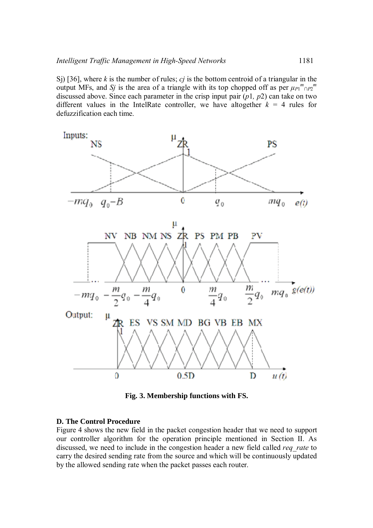Sj) [36], where *k* is the number of rules; *cj* is the bottom centroid of a triangular in the output MFs, and *Sj* is the area of a triangle with its top chopped off as per  $\mu_{P1}{}^m{}_{\cap P2}{}^m$ discussed above. Since each parameter in the crisp input pair (*p*1*, p*2) can take on two different values in the IntelRate controller, we have altogether  $k = 4$  rules for defuzzification each time.



**Fig. 3. Membership functions with FS.** 

# **D. The Control Procedure**

Figure 4 shows the new field in the packet congestion header that we need to support our controller algorithm for the operation principle mentioned in Section II. As discussed, we need to include in the congestion header a new field called *req\_rate* to carry the desired sending rate from the source and which will be continuously updated by the allowed sending rate when the packet passes each router.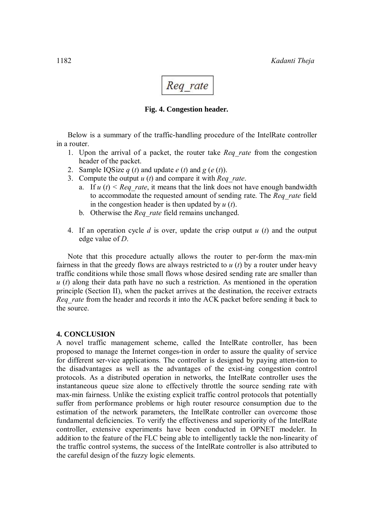

# **Fig. 4. Congestion header.**

Below is a summary of the traffic-handling procedure of the IntelRate controller in a router.

- 1. Upon the arrival of a packet, the router take *Req\_rate* from the congestion header of the packet.
- 2. Sample IOSize  $q(t)$  and update  $e(t)$  and  $g(e(t))$ .
- 3. Compute the output *u* (*t*) and compare it with *Req\_rate*.
	- a. If  $u(t) <$  *Req. rate*, it means that the link does not have enough bandwidth to accommodate the requested amount of sending rate. The *Req\_rate* field in the congestion header is then updated by *u* (*t*).
	- b. Otherwise the *Req\_rate* field remains unchanged.
- 4. If an operation cycle *d* is over, update the crisp output *u* (*t*) and the output edge value of *D*.

Note that this procedure actually allows the router to per-form the max-min fairness in that the greedy flows are always restricted to *u* (*t*) by a router under heavy traffic conditions while those small flows whose desired sending rate are smaller than *u* (*t*) along their data path have no such a restriction. As mentioned in the operation principle (Section II), when the packet arrives at the destination, the receiver extracts *Req\_rate* from the header and records it into the ACK packet before sending it back to the source.

# **4. CONCLUSION**

A novel traffic management scheme, called the IntelRate controller, has been proposed to manage the Internet conges-tion in order to assure the quality of service for different ser-vice applications. The controller is designed by paying atten-tion to the disadvantages as well as the advantages of the exist-ing congestion control protocols. As a distributed operation in networks, the IntelRate controller uses the instantaneous queue size alone to effectively throttle the source sending rate with max-min fairness. Unlike the existing explicit traffic control protocols that potentially suffer from performance problems or high router resource consumption due to the estimation of the network parameters, the IntelRate controller can overcome those fundamental deficiencies. To verify the effectiveness and superiority of the IntelRate controller, extensive experiments have been conducted in OPNET modeler. In addition to the feature of the FLC being able to intelligently tackle the non-linearity of the traffic control systems, the success of the IntelRate controller is also attributed to the careful design of the fuzzy logic elements.